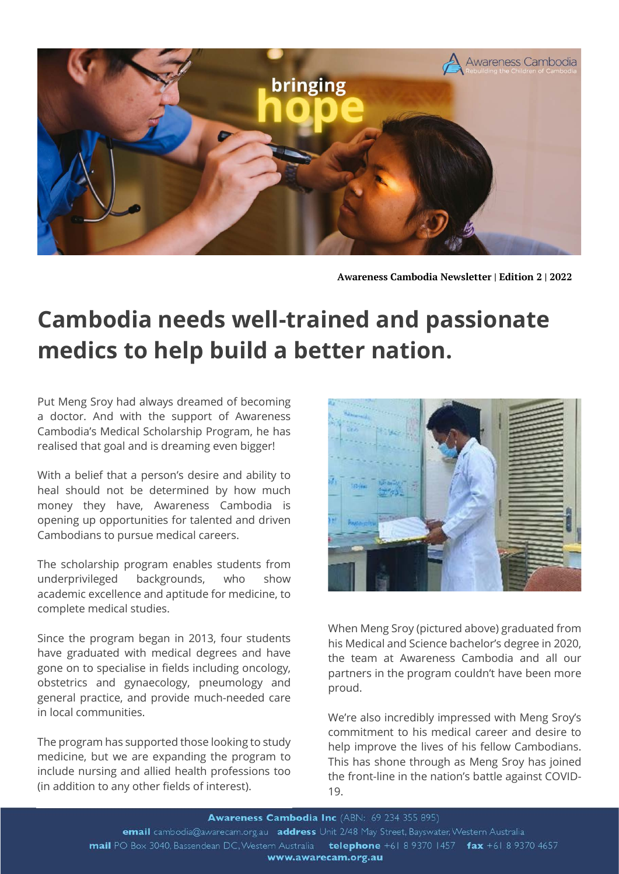

**Awareness Cambodia Newsletter | Edition 2 | 2022**

## **Cambodia needs well-trained and passionate medics to help build a better nation.**

Put Meng Sroy had always dreamed of becoming  a doctor. And with the support of Awareness Cambodia's Medical Scholarship Program, he has realised that goal and is dreaming even bigger!

With a belief that a person's desire and ability to heal should not be determined by how much money they have, Awareness Cambodia is opening up opportunities for talented and driven Cambodians to pursue medical careers.

The scholarship program enables students from underprivileged backgrounds, who show academic excellence and aptitude for medicine, to complete medical studies.

Since the program began in 2013, four students have graduated with medical degrees and have gone on to specialise in fields including oncology, obstetrics and gynaecology, pneumology and general practice, and provide much-needed care in local communities.

The program has supported those looking to study medicine, but we are expanding the program to include nursing and allied health professions too (in addition to any other fields of interest).



When Meng Sroy (pictured above) graduated from his Medical and Science bachelor's degree in 2020, the team at Awareness Cambodia and all our partners in the program couldn't have been more proud.

We're also incredibly impressed with Meng Sroy's commitment to his medical career and desire to help improve the lives of his fellow Cambodians. This has shone through as Meng Sroy has joined the front-line in the nation's battle against COVID-19.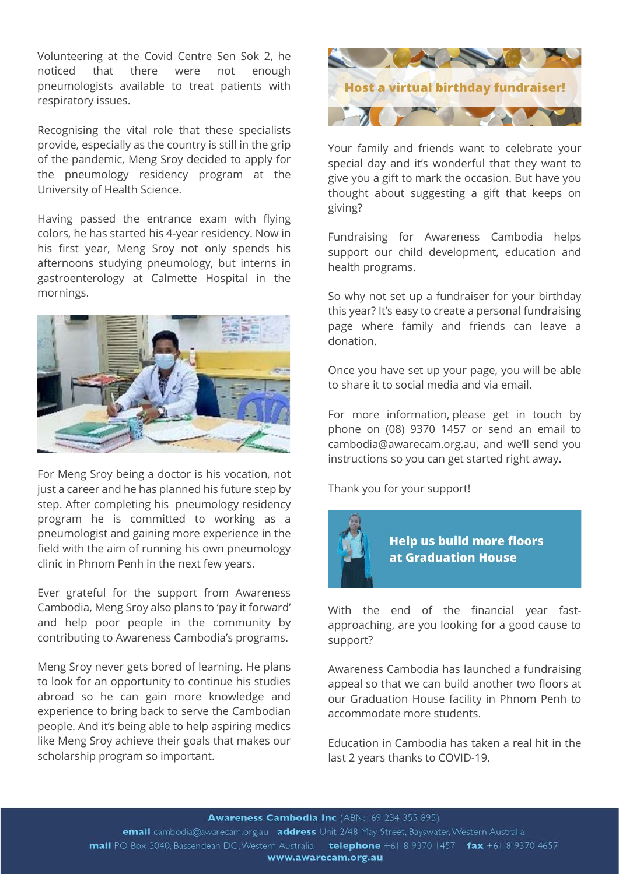Volunteering at the Covid Centre Sen Sok 2, he noticed that there were not enough pneumologists available to treat patients with respiratory issues.

Recognising the vital role that these specialists provide, especially as the country is still in the grip of the pandemic, Meng Sroy decided to apply for the pneumology residency program at the University of Health Science.

Having passed the entrance exam with flying colors, he has started his 4-year residency. Now in his first year, Meng Sroy not only spends his afternoons studying pneumology, but interns in gastroenterology at Calmette Hospital in the mornings.



For Meng Sroy being a doctor is his vocation, not just a career and he has planned his future step by step. After completing his pneumology residency program he is committed to working as a pneumologist and gaining more experience in the field with the aim of running his own pneumology clinic in Phnom Penh in the next few years.

Ever grateful for the support from Awareness Cambodia, Meng Sroy also plans to 'pay it forward' and help poor people in the community by contributing to Awareness Cambodia's programs.

Meng Sroy never gets bored of learning. He plans to look for an opportunity to continue his studies abroad so he can gain more knowledge and experience to bring back to serve the Cambodian people. And it's being able to help aspiring medics like Meng Sroy achieve their goals that makes our scholarship program so important.



Your family and friends want to celebrate your special day and it's wonderful that they want to give you a gift to mark the occasion. But have you thought about suggesting a gift that keeps on giving?

Fundraising for Awareness Cambodia helps support our child development, education and health programs.

So why not set up a fundraiser for your birthday this year? It's easy to create a personal fundraising page where family and friends can leave a donation.

Once you have set up your page, you will be able to share it to social media and via email.

For more information, please get in touch by phone on (08) 9370 1457 or send an email to cambodia@awarecam.org.au, and we'll send you instructions so you can get started right away.

Thank you for your support!



With the end of the financial year fastapproaching, are you looking for a good cause to support?

Awareness Cambodia has launched a fundraising appeal so that we can build another two floors at our Graduation House facility in Phnom Penh to accommodate more students.

Education in Cambodia has taken a real hit in the last 2 years thanks to COVID-19.